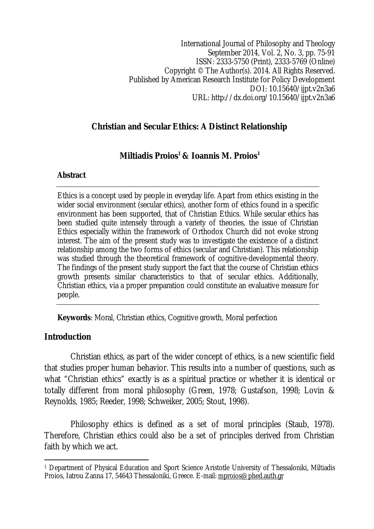International Journal of Philosophy and Theology September 2014, Vol. 2, No. 3, pp. 75-91 ISSN: 2333-5750 (Print), 2333-5769 (Online) Copyright © The Author(s). 2014. All Rights Reserved. Published by American Research Institute for Policy Development DOI: 10.15640/ijpt.v2n3a6 URL: http://dx.doi.org/10.15640/ijpt.v2n3a6

### **Christian and Secular Ethics: A Distinct Relationship**

# **Miltiadis Proios<sup>1</sup> & Ioannis M. Proios<sup>1</sup>**

#### **Abstract**

Ethics is a concept used by people in everyday life. Apart from ethics existing in the wider social environment (secular ethics), another form of ethics found in a specific environment has been supported, that of Christian Ethics. While secular ethics has been studied quite intensely through a variety of theories, the issue of Christian Ethics especially within the framework of Orthodox Church did not evoke strong interest. The aim of the present study was to investigate the existence of a distinct relationship among the two forms of ethics (secular and Christian). This relationship was studied through the theoretical framework of cognitive-developmental theory. The findings of the present study support the fact that the course of Christian ethics growth presents similar characteristics to that of secular ethics. Additionally, Christian ethics, via a proper preparation could constitute an evaluative measure for people.

**Keywords**: Moral, Christian ethics, Cognitive growth, Moral perfection

### **Introduction**

Christian ethics, as part of the wider concept of ethics, is a new scientific field that studies proper human behavior. This results into a number of questions, such as what "Christian ethics" exactly is as a spiritual practice or whether it is identical or totally different from moral philosophy (Green, 1978; Gustafson, 1998; Lovin & Reynolds, 1985; Reeder, 1998; Schweiker, 2005; Stout, 1998).

Philosophy ethics is defined as a set of moral principles (Staub, 1978). Therefore, Christian ethics could also be a set of principles derived from Christian faith by which we act.

 $\overline{a}$ <sup>1</sup> Department of Physical Education and Sport Science Aristotle University of Thessaloniki, Miltiadis Proios, Iatrou Zanna 17, 54643 Thessaloniki, Greece. E-mail: mproios@phed.auth.gr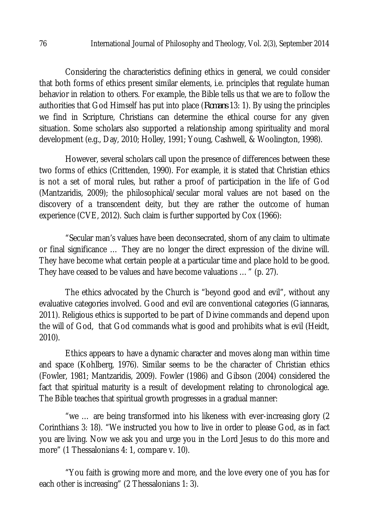Considering the characteristics defining ethics in general, we could consider that both forms of ethics present similar elements, i.e. principles that regulate human behavior in relation to others. For example, the Bible tells us that we are to follow the authorities that God Himself has put into place (*Romans* 13: 1). By using the principles we find in Scripture, Christians can determine the ethical course for any given situation. Some scholars also supported a relationship among spirituality and moral development (e.g., Day, 2010; Holley, 1991; Young, Cashwell, & Woolington, 1998).

However, several scholars call upon the presence of differences between these two forms of ethics (Crittenden, 1990). For example, it is stated that Christian ethics is not a set of moral rules, but rather a proof of participation in the life of God (Mantzaridis, 2009); the philosophical/secular moral values are not based on the discovery of a transcendent deity, but they are rather the outcome of human experience (CVE, 2012). Such claim is further supported by Cox (1966):

"Secular man's values have been deconsecrated, shorn of any claim to ultimate or final significance … They are no longer the direct expression of the divine will. They have become what certain people at a particular time and place hold to be good. They have ceased to be values and have become valuations …" (p. 27).

The ethics advocated by the Church is "beyond good and evil", without any evaluative categories involved. Good and evil are conventional categories (Giannaras, 2011). Religious ethics is supported to be part of Divine commands and depend upon the will of God, that God commands what is good and prohibits what is evil (Heidt, 2010).

Ethics appears to have a dynamic character and moves along man within time and space (Kohlberg, 1976). Similar seems to be the character of Christian ethics (Fowler, 1981; Mantzaridis, 2009). Fowler (1986) and Gibson (2004) considered the fact that spiritual maturity is a result of development relating to chronological age. The Bible teaches that spiritual growth progresses in a gradual manner:

"we … are being transformed into his likeness with ever-increasing glory (2 Corinthians 3: 18). "We instructed you how to live in order to please God, as in fact you are living. Now we ask you and urge you in the Lord Jesus to do this more and more" (1 Thessalonians 4: 1, compare v. 10).

"You faith is growing more and more, and the love every one of you has for each other is increasing" (2 Thessalonians 1: 3).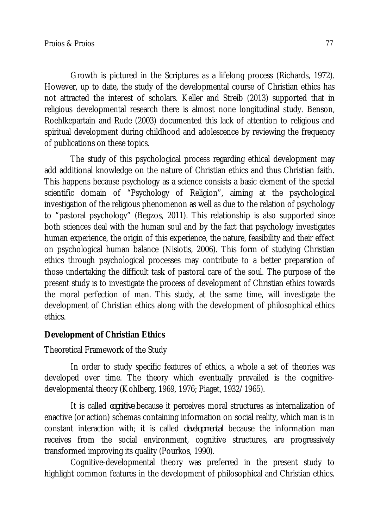Growth is pictured in the Scriptures as a lifelong process (Richards, 1972). However, up to date, the study of the developmental course of Christian ethics has not attracted the interest of scholars. Keller and Streib (2013) supported that in religious developmental research there is almost none longitudinal study. Benson, Roehlkepartain and Rude (2003) documented this lack of attention to religious and spiritual development during childhood and adolescence by reviewing the frequency of publications on these topics.

The study of this psychological process regarding ethical development may add additional knowledge on the nature of Christian ethics and thus Christian faith. This happens because psychology as a science consists a basic element of the special scientific domain of "Psychology of Religion", aiming at the psychological investigation of the religious phenomenon as well as due to the relation of psychology to "pastoral psychology" (Begzos, 2011). This relationship is also supported since both sciences deal with the human soul and by the fact that psychology investigates human experience, the origin of this experience, the nature, feasibility and their effect on psychological human balance (Nisiotis, 2006). This form of studying Christian ethics through psychological processes may contribute to a better preparation of those undertaking the difficult task of pastoral care of the soul. The purpose of the present study is to investigate the process of development of Christian ethics towards the moral perfection of man. This study, at the same time, will investigate the development of Christian ethics along with the development of philosophical ethics ethics.

# **Development of Christian Ethics**

Theoretical Framework of the Study

In order to study specific features of ethics, a whole a set of theories was developed over time. The theory which eventually prevailed is the cognitivedevelopmental theory (Kohlberg, 1969, 1976; Piaget, 1932/1965).

It is called *cognitive* because it perceives moral structures as internalization of enactive (or action) schemas containing information on social reality, which man is in constant interaction with; it is called *developmental* because the information man receives from the social environment, cognitive structures, are progressively transformed improving its quality (Pourkos, 1990).

Cognitive-developmental theory was preferred in the present study to highlight common features in the development of philosophical and Christian ethics.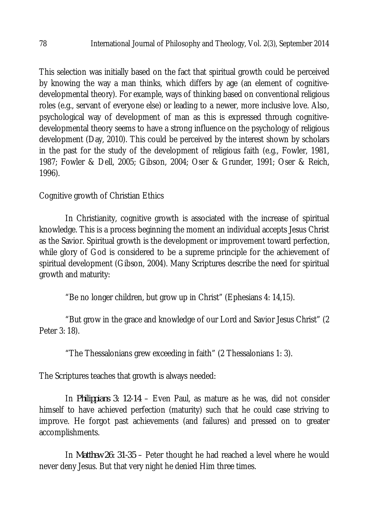This selection was initially based on the fact that spiritual growth could be perceived by knowing the way a man thinks, which differs by age (an element of cognitivedevelopmental theory). For example, ways of thinking based on conventional religious roles (e.g., servant of everyone else) or leading to a newer, more inclusive love. Also, psychological way of development of man as this is expressed through cognitivedevelopmental theory seems to have a strong influence on the psychology of religious development (Day, 2010). This could be perceived by the interest shown by scholars in the past for the study of the development of religious faith (e.g., Fowler, 1981, 1987; Fowler & Dell, 2005; Gibson, 2004; Oser & Grunder, 1991; Oser & Reich, 1996).

Cognitive growth of Christian Ethics

In Christianity, cognitive growth is associated with the increase of spiritual knowledge. This is a process beginning the moment an individual accepts Jesus Christ as the Savior. Spiritual growth is the development or improvement toward perfection, while glory of God is considered to be a supreme principle for the achievement of spiritual development (Gibson, 2004). Many Scriptures describe the need for spiritual growth and maturity:

"Be no longer children, but grow up in Christ" (Ephesians 4: 14,15).

"But grow in the grace and knowledge of our Lord and Savior Jesus Christ" (2 Peter 3: 18).

"The Thessalonians grew exceeding in faith" (2 Thessalonians 1: 3).

The Scriptures teaches that growth is always needed:

In *Philippians 3: 12-14* – Even Paul, as mature as he was, did not consider himself to have achieved perfection (maturity) such that he could case striving to improve. He forgot past achievements (and failures) and pressed on to greater accomplishments.

In *Matthew 26: 31-35* – Peter thought he had reached a level where he would never deny Jesus. But that very night he denied Him three times.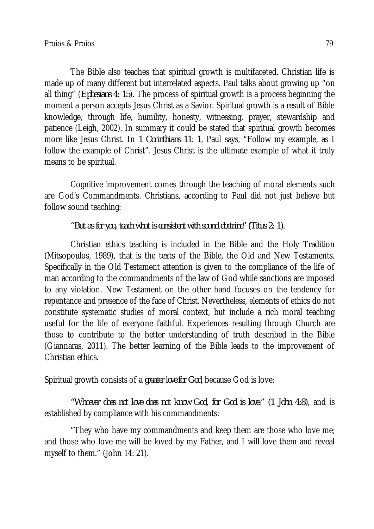The Bible also teaches that spiritual growth is multifaceted. Christian life is made up of many different but interrelated aspects. Paul talks about growing up "on all thing" (*Ephesians 4: 15*). The process of spiritual growth is a process beginning the moment a person accepts Jesus Christ as a Savior. Spiritual growth is a result of Bible knowledge, through life, humility, honesty, witnessing, prayer, stewardship and patience (Leigh, 2002). In summary it could be stated that spiritual growth becomes more like Jesus Christ. In *1 Corinthians 11: 1*, Paul says, "Follow my example, as I follow the example of Christ". Jesus Christ is the ultimate example of what it truly means to be spiritual.

Cognitive improvement comes through the teaching of moral elements such are God's Commandments. Christians, according to Paul did not just believe but follow sound teaching:

# *"But as for you, teach what is consistent with sound doctrine" (Titus 2: 1).*

Christian ethics teaching is included in the Bible and the Holy Tradition (Mitsopoulos, 1989), that is the texts of the Bible, the Old and New Testaments. Specifically in the Old Testament attention is given to the compliance of the life of man according to the commandments of the law of God while sanctions are imposed to any violation. New Testament on the other hand focuses on the tendency for repentance and presence of the face of Christ. Nevertheless, elements of ethics do not constitute systematic studies of moral context, but include a rich moral teaching useful for the life of everyone faithful. Experiences resulting through Church are those to contribute to the better understanding of truth described in the Bible (Giannaras, 2011). The better learning of the Bible leads to the improvement of Christian ethics.

Spiritual growth consists of a *greater love for God*, because God is love:

*"Whoever does not love does not know God, for God is love." (1 John 4:8),* and is established by compliance with his commandments:

"They who have my commandments and keep them are those who love me; and those who love me will be loved by my Father, and I will love them and reveal myself to them." (John 14: 21).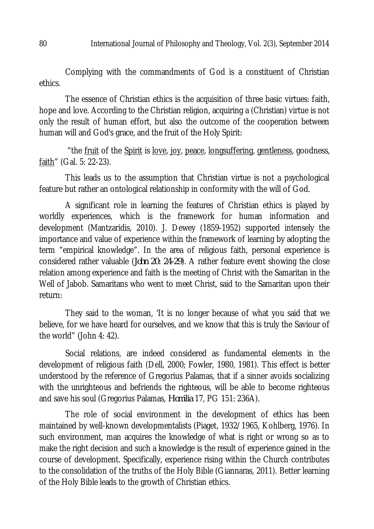Complying with the commandments of God is a constituent of Christian ethics.

The essence of Christian ethics is the acquisition of three basic virtues: faith, hope and love. According to the Christian religion, acquiring a (Christian) virtue is not only the result of human effort, but also the outcome of the cooperation between human will and God's grace, and the fruit of the Holy Spirit:

"the fruit of the Spirit is love, joy, peace, longsuffering, gentleness, goodness, faith" (Gal. 5: 22-23).

This leads us to the assumption that Christian virtue is not a psychological feature but rather an ontological relationship in conformity with the will of God.

A significant role in learning the features of Christian ethics is played by worldly experiences, which is the framework for human information and development (Mantzaridis, 2010). J. Dewey (1859-1952) supported intensely the importance and value of experience within the framework of learning by adopting the term "empirical knowledge". In the area of religious faith, personal experience is considered rather valuable (*John 20: 24-29*). A rather feature event showing the close relation among experience and faith is the meeting of Christ with the Samaritan in the Well of Jabob. Samaritans who went to meet Christ, said to the Samaritan upon their return:

They said to the woman, 'It is no longer because of what you said that we believe, for we have heard for ourselves, and we know that this is truly the Saviour of the world" (John 4: 42).

Social relations, are indeed considered as fundamental elements in the development of religious faith (Dell, 2000; Fowler, 1980, 1981). This effect is better understood by the reference of Gregorius Palamas, that if a sinner avoids socializing with the unrighteous and befriends the righteous, will be able to become righteous and save his soul (Gregorius Palamas, *Homilia* 17, PG 151: 236A).

The role of social environment in the development of ethics has been maintained by well-known developmentalists (Piaget, 1932/1965, Kohlberg, 1976). In such environment, man acquires the knowledge of what is right or wrong so as to make the right decision and such a knowledge is the result of experience gained in the course of development. Specifically, experience rising within the Church contributes to the consolidation of the truths of the Holy Bible (Giannaras, 2011). Better learning of the Holy Bible leads to the growth of Christian ethics.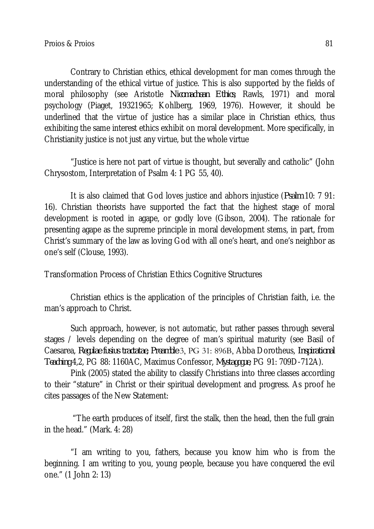Contrary to Christian ethics, ethical development for man comes through the understanding of the ethical virtue of justice. This is also supported by the fields of moral philosophy (see Aristotle *Nicomachean Ethics*; Rawls, 1971) and moral psychology (Piaget, 19321965; Kohlberg, 1969, 1976). However, it should be underlined that the virtue of justice has a similar place in Christian ethics, thus exhibiting the same interest ethics exhibit on moral development. More specifically, in Christianity justice is not just any virtue, but the whole virtue

"Justice is here not part of virtue is thought, but severally and catholic" (John Chrysostom, Interpretation of Psalm 4: 1 PG 55, 40).

It is also claimed that God loves justice and abhors injustice (*Psalm* 10: 7 91: 16). Christian theorists have supported the fact that the highest stage of moral development is rooted in agape, or godly love (Gibson, 2004). The rationale for presenting agape as the supreme principle in moral development stems, in part, from Christ's summary of the law as loving God with all one's heart, and one's neighbor as one's self (Clouse, 1993).

Transformation Process of Christian Ethics Cognitive Structures

Christian ethics is the application of the principles of Christian faith, i.e. the man's approach to Christ.

Such approach, however, is not automatic, but rather passes through several stages / levels depending on the degree of man's spiritual maturity (see Basil of Caesarea, *Regulae fusius tractatae, Preamble* 3, PG 31: 896Β, Abba Dorotheus, *Inspirational Teaching* 4,2, PG 88: 1160AC, Maximus Confessor, *Mystagogue*, PG 91: 709D-712A).

Pink (2005) stated the ability to classify Christians into three classes according to their "stature" in Christ or their spiritual development and progress. As proof he cites passages of the New Statement:

"The earth produces of itself, first the stalk, then the head, then the full grain in the head." (Mark. 4: 28)

"I am writing to you, fathers, because you know him who is from the beginning. I am writing to you, young people, because you have conquered the evil one." (1 John 2: 13)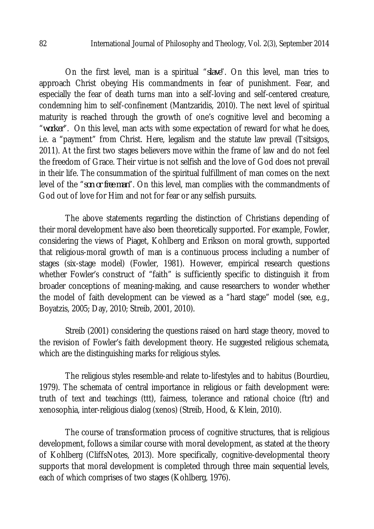On the first level, man is a spiritual "*slave*". On this level, man tries to approach Christ obeying His commandments in fear of punishment. Fear, and especially the fear of death turns man into a self-loving and self-centered creature, condemning him to self-confinement (Mantzaridis, 2010). The next level of spiritual maturity is reached through the growth of one's cognitive level and becoming a "*worker*". On this level, man acts with some expectation of reward for what he does, i.e. a "payment" from Christ. Here, legalism and the statute law prevail (Tsitsigos, 2011). At the first two stages believers move within the frame of law and do not feel the freedom of Grace. Their virtue is not selfish and the love of God does not prevail in their life. The consummation of the spiritual fulfillment of man comes on the next level of the "*son or free man*". On this level, man complies with the commandments of God out of love for Him and not for fear or any selfish pursuits.

The above statements regarding the distinction of Christians depending of their moral development have also been theoretically supported. For example, Fowler, considering the views of Piaget, Kohlberg and Erikson on moral growth, supported that religious-moral growth of man is a continuous process including a number of stages (six-stage model) (Fowler, 1981). However, empirical research questions whether Fowler's construct of "faith" is sufficiently specific to distinguish it from broader conceptions of meaning-making, and cause researchers to wonder whether the model of faith development can be viewed as a "hard stage" model (see, e.g., Boyatzis, 2005; Day, 2010; Streib, 2001, 2010).

Streib (2001) considering the questions raised on hard stage theory, moved to the revision of Fowler's faith development theory. He suggested religious schemata, which are the distinguishing marks for religious styles.

The religious styles resemble-and relate to-lifestyles and to habitus (Bourdieu, 1979). The schemata of central importance in religious or faith development were: truth of text and teachings (ttt), fairness, tolerance and rational choice (ftr) and xenosophia, inter-religious dialog (xenos) (Streib, Hood, & Klein, 2010).

The course of transformation process of cognitive structures, that is religious development, follows a similar course with moral development, as stated at the theory of Kohlberg (CliffsNotes, 2013). More specifically, cognitive-developmental theory supports that moral development is completed through three main sequential levels, each of which comprises of two stages (Kohlberg, 1976).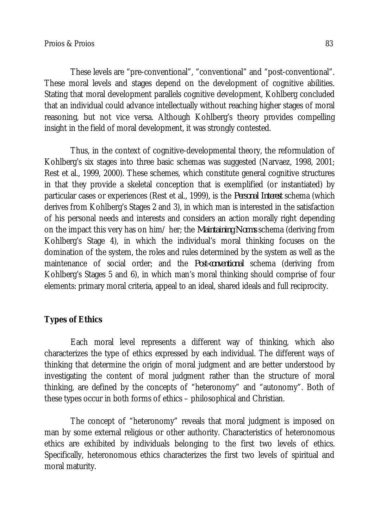These levels are "pre-conventional", "conventional" and "post-conventional". These moral levels and stages depend on the development of cognitive abilities. Stating that moral development parallels cognitive development, Kohlberg concluded that an individual could advance intellectually without reaching higher stages of moral reasoning, but not vice versa. Although Kohlberg's theory provides compelling insight in the field of moral development, it was strongly contested.

Thus, in the context of cognitive-developmental theory, the reformulation of Kohlberg's six stages into three basic schemas was suggested (Narvaez, 1998, 2001; Rest et al., 1999, 2000). These schemes, which constitute general cognitive structures in that they provide a skeletal conception that is exemplified (or instantiated) by particular cases or experiences (Rest et al., 1999), is the *Personal Interest* schema (which derives from Kohlberg's Stages 2 and 3), in which man is interested in the satisfaction of his personal needs and interests and considers an action morally right depending on the impact this very has on him/ her; the *Maintaining Norms* schema (deriving from Kohlberg's Stage 4), in which the individual's moral thinking focuses on the domination of the system, the roles and rules determined by the system as well as the maintenance of social order; and the *Post-conventional* schema (deriving from Kohlberg's Stages 5 and 6), in which man's moral thinking should comprise of four elements: primary moral criteria, appeal to an ideal, shared ideals and full reciprocity.

# **Types of Ethics**

Each moral level represents a different way of thinking, which also characterizes the type of ethics expressed by each individual. The different ways of thinking that determine the origin of moral judgment and are better understood by investigating the content of moral judgment rather than the structure of moral thinking, are defined by the concepts of "heteronomy" and "autonomy". Both of these types occur in both forms of ethics – philosophical and Christian.

The concept of "heteronomy" reveals that moral judgment is imposed on man by some external religious or other authority. Characteristics of heteronomous ethics are exhibited by individuals belonging to the first two levels of ethics. Specifically, heteronomous ethics characterizes the first two levels of spiritual and moral maturity.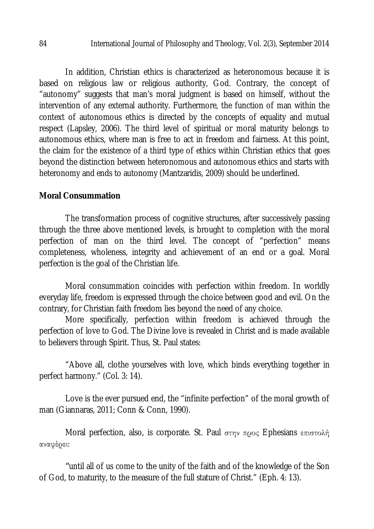In addition, Christian ethics is characterized as heteronomous because it is based on religious law or religious authority, God. Contrary, the concept of "autonomy" suggests that man's moral judgment is based on himself, without the intervention of any external authority. Furthermore, the function of man within the context of autonomous ethics is directed by the concepts of equality and mutual respect (Lapsley, 2006). The third level of spiritual or moral maturity belongs to autonomous ethics, where man is free to act in freedom and fairness. At this point, the claim for the existence of a third type of ethics within Christian ethics that goes beyond the distinction between heteronomous and autonomous ethics and starts with heteronomy and ends to autonomy (Mantzaridis, 2009) should be underlined.

### **Moral Consummation**

The transformation process of cognitive structures, after successively passing through the three above mentioned levels, is brought to completion with the moral perfection of man on the third level. The concept of "perfection" means completeness, wholeness, integrity and achievement of an end or a goal. Moral perfection is the goal of the Christian life.

Moral consummation coincides with perfection within freedom. In worldly everyday life, freedom is expressed through the choice between good and evil. On the contrary, for Christian faith freedom lies beyond the need of any choice.

More specifically, perfection within freedom is achieved through the perfection of love to God. The Divine love is revealed in Christ and is made available to believers through Spirit. Thus, St. Paul states:

"Above all, clothe yourselves with love, which binds everything together in perfect harmony." (Col. 3: 14).

Love is the ever pursued end, the "infinite perfection" of the moral growth of man (Giannaras, 2011; Conn & Conn, 1990).

Moral perfection, also, is corporate. St. Paul στην προς Ephesians επιστολή αναφέρει:

*"*until all of us come to the unity of the faith and of the knowledge of the Son of God, to maturity, to the measure of the full stature of Christ." (Eph. 4: 13).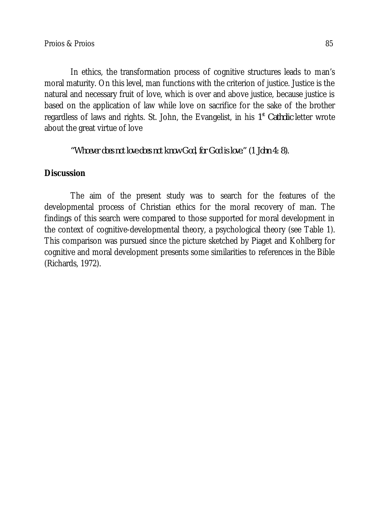In ethics, the transformation process of cognitive structures leads to man's moral maturity. On this level, man functions with the criterion of justice. Justice is the natural and necessary fruit of love, which is over and above justice, because justice is based on the application of law while love on sacrifice for the sake of the brother regardless of laws and rights. St. John, the Evangelist, in his 1<sup>st</sup> Catholic letter wrote about the great virtue of love

*"Whoever does not love does not know God, for God is love." (1 John 4: 8).*

# **Discussion**

The aim of the present study was to search for the features of the developmental process of Christian ethics for the moral recovery of man. The findings of this search were compared to those supported for moral development in the context of cognitive-developmental theory, a psychological theory (see Table 1). This comparison was pursued since the picture sketched by Piaget and Kohlberg for cognitive and moral development presents some similarities to references in the Bible (Richards, 1972).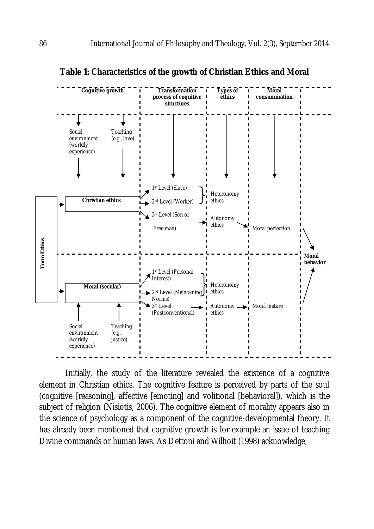

**Table 1: Characteristics of the growth of Christian Ethics and Moral**

Initially, the study of the literature revealed the existence of a cognitive element in Christian ethics. The cognitive feature is perceived by parts of the soul (cognitive [reasoning], affective [emoting] and volitional [behavioral]), which is the subject of religion (Nisiotis, 2006). The cognitive element of morality appears also in the science of psychology as a component of the cognitive-developmental theory. It has already been mentioned that cognitive growth is for example an issue of teaching Divine commands or human laws. As Dettoni and Wilhoit (1998) acknowledge,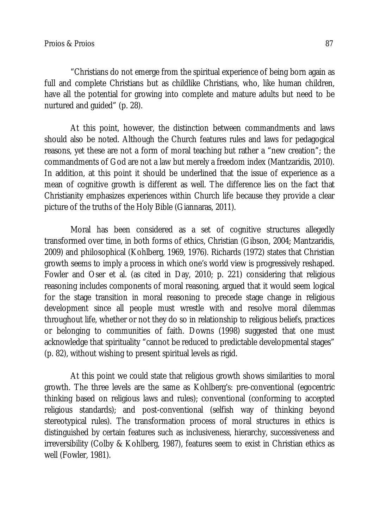"Christians do not emerge from the spiritual experience of being born again as full and complete Christians but as childlike Christians, who, like human children, have all the potential for growing into complete and mature adults but need to be nurtured and guided" (p. 28).

At this point, however, the distinction between commandments and laws should also be noted. Although the Church features rules and laws for pedagogical reasons, yet these are not a form of moral teaching but rather a "new creation"; the commandments of God are not a law but merely a freedom index (Mantzaridis, 2010). In addition, at this point it should be underlined that the issue of experience as a mean of cognitive growth is different as well. The difference lies on the fact that Christianity emphasizes experiences within Church life because they provide a clear picture of the truths of the Holy Bible (Giannaras, 2011).

Moral has been considered as a set of cognitive structures allegedly transformed over time, in both forms of ethics, Christian (Gibson, 2004; Mantzaridis, 2009) and philosophical (Kohlberg, 1969, 1976). Richards (1972) states that Christian growth seems to imply a process in which one's world view is progressively reshaped. Fowler and Oser et al. (as cited in Day, 2010; p. 221) considering that religious reasoning includes components of moral reasoning, argued that it would seem logical for the stage transition in moral reasoning to precede stage change in religious development since all people must wrestle with and resolve moral dilemmas throughout life, whether or not they do so in relationship to religious beliefs, practices or belonging to communities of faith. Downs (1998) suggested that one must acknowledge that spirituality "cannot be reduced to predictable developmental stages" (p. 82), without wishing to present spiritual levels as rigid.

At this point we could state that religious growth shows similarities to moral growth. The three levels are the same as Kohlberg's: pre-conventional (egocentric thinking based on religious laws and rules); conventional (conforming to accepted religious standards); and post-conventional (selfish way of thinking beyond stereotypical rules). The transformation process of moral structures in ethics is distinguished by certain features such as inclusiveness, hierarchy, successiveness and irreversibility (Colby & Kohlberg, 1987), features seem to exist in Christian ethics as well (Fowler, 1981).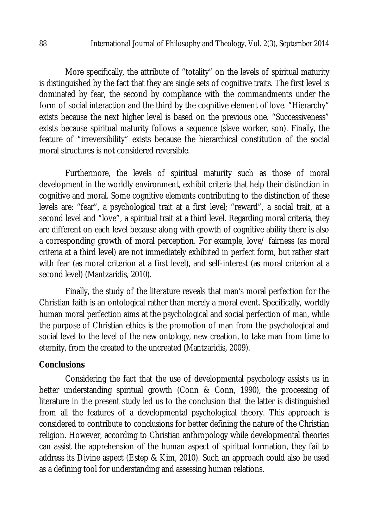More specifically, the attribute of "totality" on the levels of spiritual maturity is distinguished by the fact that they are single sets of cognitive traits. The first level is dominated by fear, the second by compliance with the commandments under the form of social interaction and the third by the cognitive element of love. "Hierarchy" exists because the next higher level is based on the previous one. "Successiveness" exists because spiritual maturity follows a sequence (slave worker, son). Finally, the feature of "irreversibility" exists because the hierarchical constitution of the social moral structures is not considered reversible.

Furthermore, the levels of spiritual maturity such as those of moral development in the worldly environment, exhibit criteria that help their distinction in cognitive and moral. Some cognitive elements contributing to the distinction of these levels are: "fear", a psychological trait at a first level; "reward", a social trait, at a second level and "love", a spiritual trait at a third level. Regarding moral criteria, they are different on each level because along with growth of cognitive ability there is also a corresponding growth of moral perception. For example, love/ fairness (as moral criteria at a third level) are not immediately exhibited in perfect form, but rather start with fear (as moral criterion at a first level), and self-interest (as moral criterion at a second level) (Mantzaridis, 2010).

Finally, the study of the literature reveals that man's moral perfection for the Christian faith is an ontological rather than merely a moral event. Specifically, worldly human moral perfection aims at the psychological and social perfection of man, while the purpose of Christian ethics is the promotion of man from the psychological and social level to the level of the new ontology, new creation, to take man from time to eternity, from the created to the uncreated (Mantzaridis, 2009).

#### **Conclusions**

Considering the fact that the use of developmental psychology assists us in better understanding spiritual growth (Conn & Conn, 1990), the processing of literature in the present study led us to the conclusion that the latter is distinguished from all the features of a developmental psychological theory. This approach is considered to contribute to conclusions for better defining the nature of the Christian religion. However, according to Christian anthropology while developmental theories can assist the apprehension of the human aspect of spiritual formation, they fail to address its Divine aspect (Estep & Kim, 2010). Such an approach could also be used as a defining tool for understanding and assessing human relations.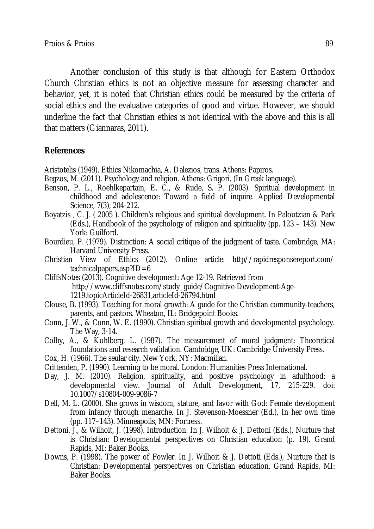Another conclusion of this study is that although for Eastern Orthodox Church Christian ethics is not an objective measure for assessing character and behavior, yet, it is noted that Christian ethics could be measured by the criteria of social ethics and the evaluative categories of good and virtue. However, we should underline the fact that Christian ethics is not identical with the above and this is all that matters (Giannaras, 2011).

### **References**

Aristotelis (1949). Ethics Nikomachia, A. Dalezios, trans. Athens: Papiros.

- Begzos, M. (2011). Psychology and religion. Athens: Grigori. (In Greek language).
- Benson, P. L., Roehlkepartain, E. C., & Rude, S. P. (2003). Spiritual development in childhood and adolescence: Toward a field of inquire. Applied Developmental Science, 7(3), 204-212.
- Boyatzis , C. J. ( 2005 ). Children's religious and spiritual development. In Paloutzian & Park (Eds.), Handbook of the psychology of religion and spirituality (pp. 123 – 143). New York: Guilford.
- Bourdieu, P. (1979). Distinction: A social critique of the judgment of taste. Cambridge, MA: Harvard University Press.
- Christian View of Ethics (2012). Online article: http//rapidresponsereport.com/ technicalpapers.asp?ID=6
- CliffsNotes (2013). Cognitive development: Age 12-19. Retrieved from http://www.cliffsnotes.com/study\_guide/Cognitive-Development-Age-1219.topicArticleId-26831,articleId-26794.html
- Clouse, B. (1993). Teaching for moral growth: A guide for the Christian community-teachers, parents, and pastors. Wheaton, IL: Bridgepoint Books.
- Conn, J. W., & Conn, W. E. (1990). Christian spiritual growth and developmental psychology. The Way, 3-14.
- Colby, A., & Kohlberg, L. (1987). The measurement of moral judgment: Theoretical foundations and research validation. Cambridge, UK: Cambridge University Press.
- Cox, H. (1966). The seular city. New York, NY: Macmillan.
- Crittenden, P. (1990). Learning to be moral. London: Humanities Press International.
- Day, J. M. (2010). Religion, spirituality, and positive psychology in adulthood: a developmental view. Journal of Adult Development, 17, 215-229. doi: 10.1007/s10804-009-9086-7
- Dell, M. L. (2000). She grows in wisdom, stature, and favor with God: Female development from infancy through menarche. In J. Stevenson-Moessner (Ed.), In her own time (pp. 117–143). Minneapolis, MN: Fortress.
- Dettoni, J., & Wilhoit, J. (1998). Introduction. In J. Wilhoit & J. Dettoni (Eds.), Nurture that is Christian: Developmental perspectives on Christian education (p. 19). Grand Rapids, MI: Baker Books.
- Downs, P. (1998). The power of Fowler. In J. Wilhoit & J. Dettoti (Eds.), Nurture that is Christian: Developmental perspectives on Christian education. Grand Rapids, MI: Baker Books.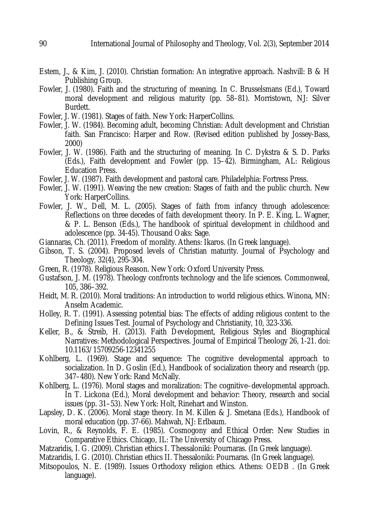- Estem, J., & Kim, J. (2010). Christian formation: An integrative approach. Nashvill: B & H Publishing Group.
- Fowler, J. (1980). Faith and the structuring of meaning. In C. Brusselsmans (Ed.), Toward moral development and religious maturity (pp. 58–81). Morristown, NJ: Silver Burdett.
- Fowler, J. W. (1981). Stages of faith. New York: HarperCollins.
- Fowler, J. W. (1984). Becoming adult, becoming Christian: Adult development and Christian faith. San Francisco: Harper and Row. (Revised edition published by Jossey-Bass, 2000)
- Fowler, J. W. (1986). Faith and the structuring of meaning. In C. Dykstra & S. D. Parks (Eds.), Faith development and Fowler (pp. 15–42). Birmingham, AL: Religious Education Press.
- Fowler, J. W. (1987). Faith development and pastoral care. Philadelphia: Fortress Press.
- Fowler, J. W. (1991). Weaving the new creation: Stages of faith and the public church. New York: HarperCollins.
- Fowler, J. W., Dell, M. L. (2005). Stages of faith from infancy through adolescence: Reflections on three decedes of faith development theory. In P. E. King, L. Wagner, & P. L. Benson (Eds.), The handbook of spiritual development in childhood and adolescence (pp. 34-45). Thousand Oaks: Sage.
- Giannaras, Ch. (2011). Freedom of morality. Athens: Ikaros. (In Greek language).
- Gibson, T. S. (2004). Proposed levels of Christian maturity. Journal of Psychology and Theology, 32(4), 295-304.
- Green, R. (1978). Religious Reason. New York: Oxford University Press.
- Gustafson, J. M. (1978). Theology confronts technology and the life sciences. Commonweal, 105, 386–392.
- Heidt, M. R. (2010). Moral traditions: An introduction to world religious ethics. Winona, MN: Anselm Academic.
- Holley, R. T. (1991). Assessing potential bias: The effects of adding religious content to the Defining Issues Test. Journal of Psychology and Christianity, 10, 323-336.
- Keller, B., & Streib, H. (2013). Faith Development, Religious Styles and Biographical Narratives: Methodological Perspectives. Journal of Empirical Theology 26, 1-21. doi: 10.1163/15709256-12341255
- Kohlberg, L. (1969). Stage and sequence: The cognitive developmental approach to socialization. In D. Goslin (Ed.), Handbook of socialization theory and research (pp. 347–480). New York: Rand McNally.
- Kohlberg, L. (1976). Moral stages and moralization: The cognitive–developmental approach. In T. Lickona (Ed.), Moral development and behavior: Theory, research and social issues (pp. 31–53). New York: Holt, Rinehart and Winston.
- Lapsley, D. K. (2006). Moral stage theory. In M. Killen & J. Smetana (Eds.), Handbook of moral education (pp. 37-66). Mahwah, NJ: Erlbaum.
- Lovin, R., & Reynolds, F. E. (1985). Cosmogony and Ethical Order: New Studies in Comparative Ethics. Chicago, IL: The University of Chicago Press.
- Matzaridis, I. G. (2009). Christian ethics I. Thessaloniki: Pournaras. (In Greek language).
- Matzaridis, I. G. (2010). Christian ethics II. Thessaloniki: Pournaras. (In Greek language).
- Mitsopoulos, N. E. (1989). Issues Orthodoxy religion ethics. Athens: OEDB . (In Greek language).